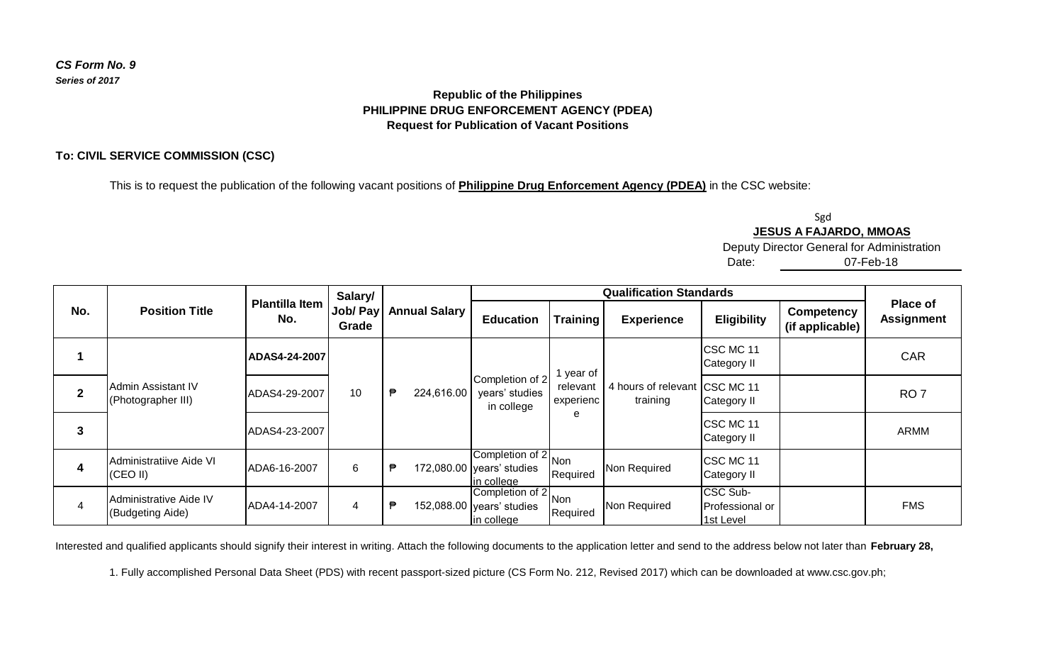## *CS Form No. 9 Series of 2017*

# **Republic of the Philippines PHILIPPINE DRUG ENFORCEMENT AGENCY (PDEA) Request for Publication of Vacant Positions**

### **To: CIVIL SERVICE COMMISSION (CSC)**

This is to request the publication of the following vacant positions of **Philippine Drug Enforcement Agency (PDEA)** in the CSC website:

Sgd **JESUS A FAJARDO, MMOAS**

Deputy Director General for Administration

07-Feb-18

Date:

| No. | <b>Position Title</b>                      | <b>Plantilla Item</b><br>No. | Salary/<br>Job/ Pay<br>Grade | <b>Annual Salary</b> | <b>Qualification Standards</b>                                 |                                         |                                           |                                           |                                      |                                      |
|-----|--------------------------------------------|------------------------------|------------------------------|----------------------|----------------------------------------------------------------|-----------------------------------------|-------------------------------------------|-------------------------------------------|--------------------------------------|--------------------------------------|
|     |                                            |                              |                              |                      | <b>Education</b>                                               | <b>Training</b>                         | <b>Experience</b>                         | <b>Eligibility</b>                        | <b>Competency</b><br>(if applicable) | <b>Place of</b><br><b>Assignment</b> |
|     | Admin Assistant IV<br>(Photographer III)   | ADAS4-24-2007                | 10 <sup>°</sup>              | 224,616.00<br>₱      | Completion of 2<br>years' studies<br>in college                | 1 year of<br>relevant<br>experienc<br>e | 4 hours of relevant CSC MC 11<br>training | CSC MC 11<br>Category II                  |                                      | <b>CAR</b>                           |
|     |                                            | ADAS4-29-2007                |                              |                      |                                                                |                                         |                                           | Category II                               |                                      | RO <sub>7</sub>                      |
| 3   |                                            | ADAS4-23-2007                |                              |                      |                                                                |                                         |                                           | CSC MC 11<br>Category II                  |                                      | <b>ARMM</b>                          |
| 4   | Administratiive Aide VI<br>(CEO II)        | ADA6-16-2007                 | 6                            | ₿                    | Completion of 2 Non<br>172,080.00 years' studies<br>in college | Required                                | Non Required                              | CSC MC 11<br>Category II                  |                                      |                                      |
| 4   | Administrative Aide IV<br>(Budgeting Aide) | ADA4-14-2007                 | 4                            | ⋼                    | Completion of 2 Non<br>152,088.00 years' studies<br>in college | Required                                | Non Required                              | CSC Sub-<br>IProfessional or<br>1st Level |                                      | <b>FMS</b>                           |

Interested and qualified applicants should signify their interest in writing. Attach the following documents to the application letter and send to the address below not later than **February 28,** 

1. Fully accomplished Personal Data Sheet (PDS) with recent passport-sized picture (CS Form No. 212, Revised 2017) which can be downloaded at www.csc.gov.ph;